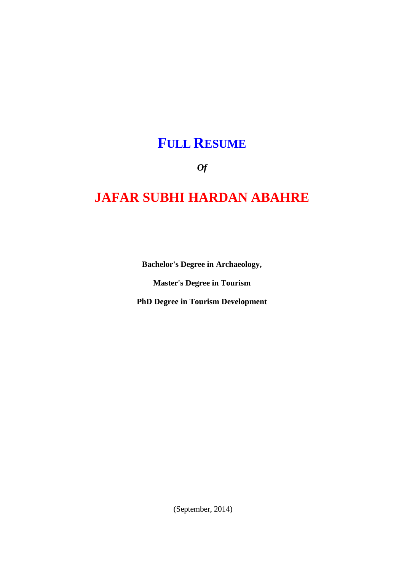# **FULL RESUME**

*Of*

# **JAFAR SUBHI HARDAN ABAHRE**

**Bachelor's Degree in Archaeology,**

**Master's Degree in Tourism**

**PhD Degree in Tourism Development**

(September, 2014)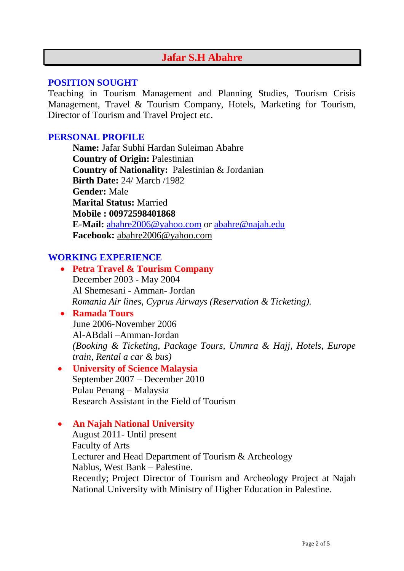# **Jafar S.H Abahre**

#### **POSITION SOUGHT**

Teaching in Tourism Management and Planning Studies, Tourism Crisis Management, Travel & Tourism Company, Hotels, Marketing for Tourism, Director of Tourism and Travel Project etc.

## **PERSONAL PROFILE**

**Name:** Jafar Subhi Hardan Suleiman Abahre **Country of Origin:** Palestinian **Country of Nationality:** Palestinian & Jordanian **Birth Date:** 24/ March /1982 **Gender:** Male **Marital Status:** Married **Mobile : 00972598401868 E-Mail:** [abahre2006@yahoo.com](mailto:abahre2006@yahoo.com) or [abahre@najah.edu](mailto:abahre@najah.edu) **Facebook:** abahre2006@yahoo.com

## **WORKING EXPERIENCE**

 **Petra Travel & Tourism Company** December 2003 - May 2004 Al Shemesani - Amman- Jordan  *Romania Air lines, Cyprus Airways (Reservation & Ticketing).*

### **Ramada Tours**

June 2006-November 2006 Al-ABdali –Amman-Jordan *(Booking & Ticketing, Package Tours, Ummra & Hajj, Hotels, Europe train, Rental a car & bus)*

#### **University of Science Malaysia** September 2007 – December 2010 Pulau Penang – Malaysia Research Assistant in the Field of Tourism

#### **An Najah National University**

August 2011- Until present Faculty of Arts Lecturer and Head Department of Tourism & Archeology Nablus, West Bank – Palestine. Recently; Project Director of Tourism and Archeology Project at Najah National University with Ministry of Higher Education in Palestine.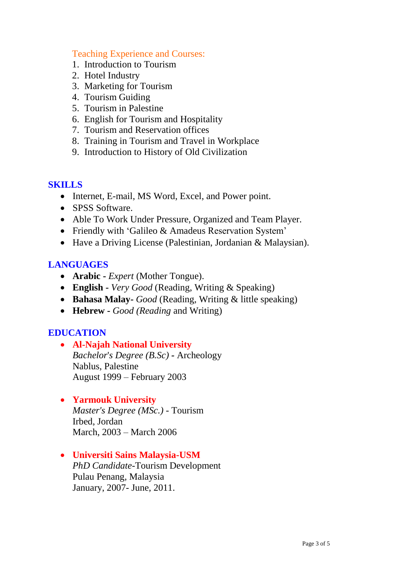#### Teaching Experience and Courses:

- 1. Introduction to Tourism
- 2. Hotel Industry
- 3. Marketing for Tourism
- 4. Tourism Guiding
- 5. Tourism in Palestine
- 6. English for Tourism and Hospitality
- 7. Tourism and Reservation offices
- 8. Training in Tourism and Travel in Workplace
- 9. Introduction to History of Old Civilization

### **SKILLS**

- Internet, E-mail, MS Word, Excel, and Power point.
- SPSS Software.
- Able To Work Under Pressure, Organized and Team Player.
- Friendly with 'Galileo & Amadeus Reservation System'
- Have a Driving License (Palestinian, Jordanian & Malaysian).

## **LANGUAGES**

- **Arabic -** *Expert* (Mother Tongue).
- **English -** *Very Good* (Reading, Writing & Speaking)
- **Bahasa Malay-** *Good* (Reading, Writing & little speaking)
- **Hebrew -** *Good (Reading* and Writing)

## **EDUCATION**

 **Al-Najah National University** *Bachelor*'*s Degree (B.Sc) -* Archeology Nablus, Palestine August 1999 – February 2003

## **Yarmouk University**

*Master's Degree (MSc.)* - Tourism Irbed, Jordan March, 2003 – March 2006

 **Universiti Sains Malaysia-USM** *PhD Candidate*-Tourism Development

Pulau Penang, Malaysia January, 2007- June, 2011.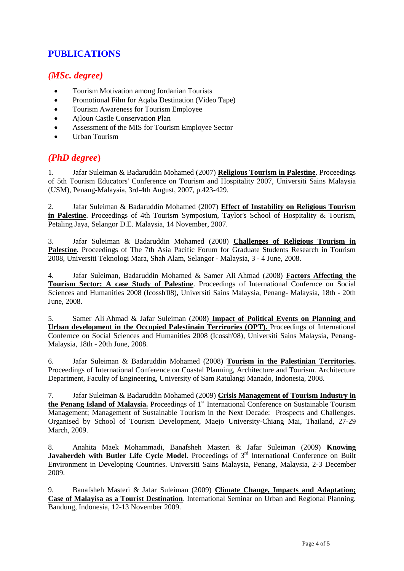## **PUBLICATIONS**

#### *(MSc. degree)*

- Tourism Motivation among Jordanian Tourists
- Promotional Film for Aqaba Destination (Video Tape)
- Tourism Awareness for Tourism Employee
- Ajloun Castle Conservation Plan
- Assessment of the MIS for Tourism Employee Sector
- Urban Tourism

#### *(PhD degree***)**

1. Jafar Suleiman & Badaruddin Mohamed (2007) **Religious Tourism in Palestine**. Proceedings of 5th Tourism Educators' Conference on Tourism and Hospitality 2007, Universiti Sains Malaysia (USM), Penang-Malaysia, 3rd-4th August, 2007, p.423-429.

2. Jafar Suleiman & Badaruddin Mohamed (2007) **Effect of Instability on Religious Tourism in Palestine**. Proceedings of 4th Tourism Symposium, Taylor's School of Hospitality & Tourism, Petaling Jaya, Selangor D.E. Malaysia, 14 November, 2007.

3. Jafar Suleiman & Badaruddin Mohamed (2008) **Challenges of Religious Tourism in Palestine**. Proceedings of The 7th Asia Pacific Forum for Graduate Students Research in Tourism 2008, Universiti Teknologi Mara, Shah Alam, Selangor - Malaysia, 3 - 4 June, 2008.

4. Jafar Suleiman, Badaruddin Mohamed & Samer Ali Ahmad (2008) **Factors Affecting the Tourism Sector: A case Study of Palestine**. Proceedings of International Confernce on Social Sciences and Humanities 2008 (Icossh'08), Universiti Sains Malaysia, Penang- Malaysia, 18th - 20th June, 2008.

5. Samer Ali Ahmad & Jafar Suleiman (2008) **Impact of Political Events on Planning and Urban development in the Occupied Palestinain Terrirories (OPT).** Proceedings of International Confernce on Social Sciences and Humanities 2008 (Icossh'08), Universiti Sains Malaysia, Penang-Malaysia, 18th - 20th June, 2008.

6. Jafar Suleiman & Badaruddin Mohamed (2008) **Tourism in the Palestinian Territories.** Proceedings of International Conference on Coastal Planning, Architecture and Tourism. Architecture Department, Faculty of Engineering, University of Sam Ratulangi Manado, Indonesia, 2008.

7. Jafar Suleiman & Badaruddin Mohamed (2009) **Crisis Management of Tourism Industry in**  the Penang Island of Malaysia. Proceedings of 1<sup>st</sup> International Conference on Sustainable Tourism Management; Management of Sustainable Tourism in the Next Decade: Prospects and Challenges. Organised by School of Tourism Development, Maejo University-Chiang Mai, Thailand, 27-29 March, 2009.

8. Anahita Maek Mohammadi, Banafsheh Masteri & Jafar Suleiman (2009) **Knowing**  Javaherdeh with Butler Life Cycle Model. Proceedings of 3<sup>rd</sup> International Conference on Built Environment in Developing Countries. Universiti Sains Malaysia, Penang, Malaysia, 2-3 December 2009.

9. Banafsheh Masteri & Jafar Suleiman (2009) **Climate Change, Impacts and Adaptation; Case of Malayisa as a Tourist Destination**. International Seminar on Urban and Regional Planning. Bandung, Indonesia, 12-13 November 2009.